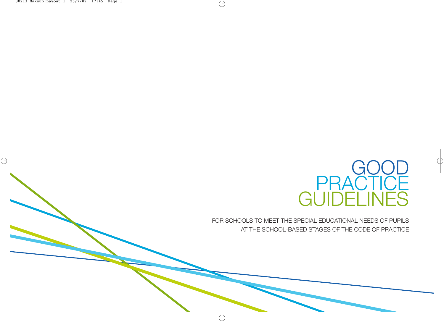

FOR SCHOOLS TO MEET THE SPECIAL EDUCATIONAL NEEDS OF PUPILS AT THE SCHOOL-BASED STAGES OF THE CODE OF PRACTICE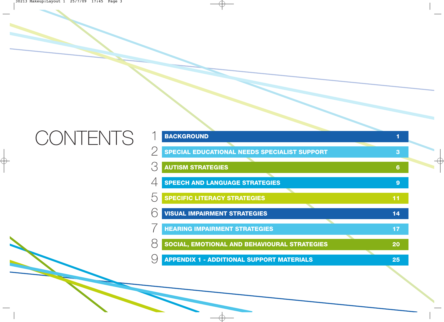# **CONTENTS**

| <b>BACKGROUND</b>                                   |                  |
|-----------------------------------------------------|------------------|
| <b>SPECIAL EDUCATIONAL NEEDS SPECIALIST SUPPORT</b> | 3                |
| <b>AUTISM STRATEGIES</b>                            | $6\phantom{1}6$  |
| <b>SPEECH AND LANGUAGE STRATEGIES</b>               | $\boldsymbol{9}$ |
| <b>SPECIFIC LITERACY STRATEGIES</b>                 | 11               |
| <b>VISUAL IMPAIRMENT STRATEGIES</b>                 | 14               |
| <b>HEARING IMPAIRMENT STRATEGIES</b>                | 17               |
| SOCIAL, EMOTIONAL AND BEHAVIOURAL STRATEGIES        | 20               |
| <b>APPENDIX 1 - ADDITIONAL SUPPORT MATERIALS</b>    | 25               |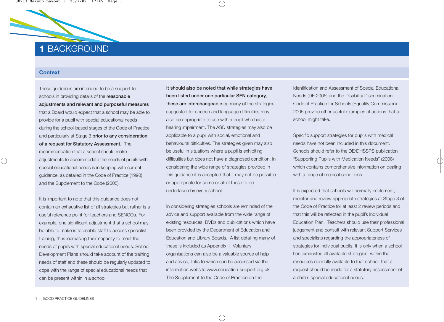### **1** BACKGROUND

#### **Context**

These guidelines are intended to be a support to schools in providing details of the **reasonable** adjustments and relevant and purposeful measures that a Board would expect that a school may be able to provide for a pupil with special educational needs during the school-based stages of the Code of Practice and particularly at Stage 3 prior to any consideration of a request for Statutory Assessment. The recommendation that a school should make adjustments to accommodate the needs of pupils with special educational needs is in keeping with current guidance, as detailed in the Code of Practice (1998) and the Supplement to the Code (2005).

It is important to note that this guidance does not contain an exhaustive list of all strategies but rather is a useful reference point for teachers and SENCOs. For example, one significant adjustment that a school may be able to make is to enable staff to access specialist training, thus increasing their capacity to meet the needs of pupils with special educational needs. School Development Plans should take account of the training needs of staff and these should be regularly updated to cope with the range of special educational needs that can be present within in a school.

It should also be noted that while strategies have been listed under one particular SEN category, these are interchangeable eg many of the strategies suggested for speech and language difficulties may also be appropriate to use with a pupil who has a hearing impairment. The ASD strategies may also be applicable to a pupil with social, emotional and behavioural difficulties. The strategies given may also be useful in situations where a pupil is exhibiting difficulties but does not have a diagnosed condition. In considering the wide range of strategies provided in this guidance it is accepted that it may not be possible or appropriate for some or all of these to be undertaken by every school.

In considering strategies schools are reminded of the advice and support available from the wide range of existing resources, DVDs and publications which have been provided by the Department of Education and Education and Library Boards. A list detailing many of these is included as Appendix 1. Voluntary organisations can also be a valuable source of help and advice, links to which can be accessed via the information website www.education-support.org.uk The Supplement to the Code of Practice on the

Identification and Assessment of Special Educational Needs (DE 2005) and the Disability Discrimination Code of Practice for Schools (Equality Commission) 2005 provide other useful examples of actions that a school might take.

Specific support strategies for pupils with medical needs have not been included in this document. Schools should refer to the DE/DHSSPS publication "Supporting Pupils with Medication Needs" (2008) which contains comprehensive information on dealing with a range of medical conditions.

It is expected that schools will normally implement, monitor and review appropriate strategies at Stage 3 of the Code of Practice for at least 2 review periods and that this will be reflected in the pupil's Individual Education Plan. Teachers should use their professional judgement and consult with relevant Support Services and specialists regarding the appropriateness of strategies for individual pupils. It is only when a school has exhausted all available strategies, within the resources normally available to that school, that a request should be made for a statutory assessment of a child's special educational needs.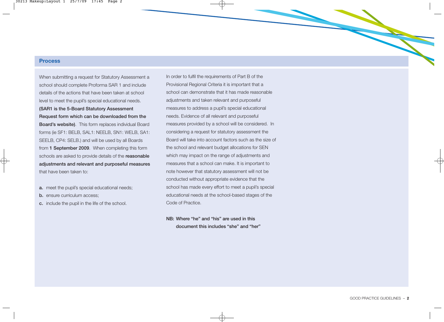#### **Process**

When submitting a request for Statutory Assessment a school should complete Proforma SAR 1 and include details of the actions that have been taken at school level to meet the pupil's special educational needs. (SAR1 is the 5-Board Statutory Assessment Request form which can be downloaded from the Board's website). This form replaces individual Board forms (ie SF1: BELB, SAL1: NEELB, SN1: WELB, SA1: SEELB, CP4: SELB.) and will be used by all Boards from 1 September 2009. When completing this form schools are asked to provide details of the **reasonable** adjustments and relevant and purposeful measures that have been taken to:

- a. meet the pupil's special educational needs;
- **b.** ensure curriculum access:
- c. include the pupil in the life of the school.

In order to fulfil the requirements of Part B of the Provisional Regional Criteria it is important that a school can demonstrate that it has made reasonable adjustments and taken relevant and purposeful measures to address a pupil's special educational needs. Evidence of all relevant and purposeful measures provided by a school will be considered. In considering a request for statutory assessment the Board will take into account factors such as the size of the school and relevant budget allocations for SEN which may impact on the range of adjustments and measures that a school can make. It is important to note however that statutory assessment will not be conducted without appropriate evidence that the school has made every effort to meet a pupil's special educational needs at the school-based stages of the Code of Practice.

NB: Where "he" and "his" are used in this document this includes "she" and "her"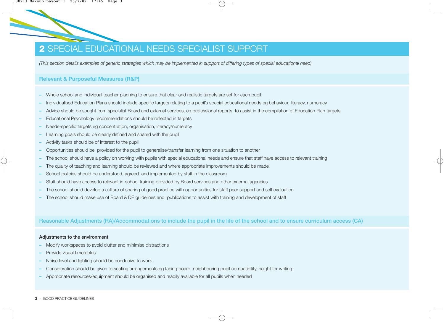### **2** SPECIAL EDUCATIONAL NEEDS SPECIALIST SUPPORT

*(This section details examples of generic strategies which may be implemented in support of differing types of special educational need)*

#### **Relevant & Purposeful Measures (R&P)**

- **–** Whole school and individual teacher planning to ensure that clear and realistic targets are set for each pupil
- **–** Individualised Education Plans should include specific targets relating to a pupil's special educational needs eg behaviour, literacy, numeracy
- **–** Advice should be sought from specialist Board and external services, eg professional reports, to assist in the compilation of Education Plan targets
- **–** Educational Psychology recommendations should be reflected in targets
- **–** Needs-specific targets eg concentration, organisation, literacy/numeracy
- **–** Learning goals should be clearly defined and shared with the pupil
- **–** Activity tasks should be of interest to the pupil
- **–** Opportunities should be provided for the pupil to generalise/transfer learning from one situation to another
- **–** The school should have a policy on working with pupils with special educational needs and ensure that staff have access to relevant training
- **–** The quality of teaching and learning should be reviewed and where appropriate improvements should be made
- **–** School policies should be understood, agreed and implemented by staff in the classroom
- **–** Staff should have access to relevant in-school training provided by Board services and other external agencies
- **–** The school should develop a culture of sharing of good practice with opportunities for staff peer support and self evaluation
- **–** The school should make use of Board & DE guidelines and publications to assist with training and development of staff

Reasonable Adjustments (RA)/Accommodations to include the pupil in the life of the school and to ensure curriculum access (CA)

#### Adjustments to the environment

- **–** Modify workspaces to avoid clutter and minimise distractions
- **–** Provide visual timetables
- **–** Noise level and lighting should be conducive to work
- **–** Consideration should be given to seating arrangements eg facing board, neighbouring pupil compatibility, height for writing
- **–** Appropriate resources/equipment should be organised and readily available for all pupils when needed

#### **3** – GOOD PRACTICE GUIDELINES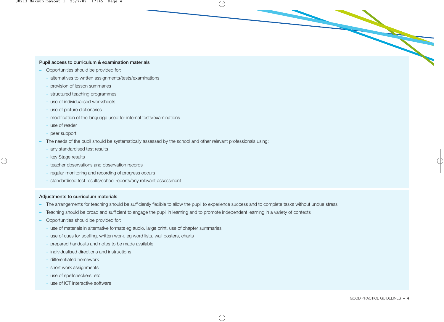#### Pupil access to curriculum & examination materials

- **–** Opportunities should be provided for:
	- **-** alternatives to written assignments/tests/examinations
	- **-** provision of lesson summaries
	- **-** structured teaching programmes
	- **-** use of individualised worksheets
	- **-** use of picture dictionaries
	- **-** modification of the language used for internal tests/examinations
	- **-** use of reader
	- **-** peer support
- **–** The needs of the pupil should be systematically assessed by the school and other relevant professionals using:
	- **-** any standardised test results
	- **-** key Stage results
	- **-** teacher observations and observation records
	- **-** regular monitoring and recording of progress occurs
	- **-** standardised test results/school reports/any relevant assessment

#### Adjustments to curriculum materials

- **–** The arrangements for teaching should be sufficiently flexible to allow the pupil to experience success and to complete tasks without undue stress
- **–** Teaching should be broad and sufficient to engage the pupil in learning and to promote independent learning in a variety of contexts
- **–** Opportunities should be provided for:
	- **-** use of materials in alternative formats eg audio, large print, use of chapter summaries
	- **-** use of cues for spelling, written work, eg word lists, wall posters, charts
	- **-** prepared handouts and notes to be made available
	- **-** individualised directions and instructions
	- **-** differentiated homework
	- **-** short work assignments
	- **-** use of spellcheckers, etc
	- **-** use of ICT interactive software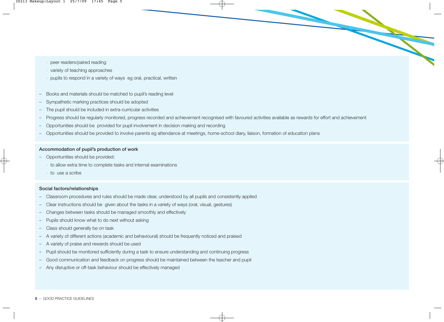- **-** peer readers/paired reading
- **-** variety of teaching approaches
- **-** pupils to respond in a variety of ways eg oral, practical, written
- **–** Books and materials should be matched to pupil's reading level
- **–** Sympathetic marking practices should be adopted
- **–** The pupil should be included in extra-curricular activities
- **–** Progress should be regularly monitored, progress recorded and achievement recognised with favoured activities available as rewards for effort and achievement
- **–** Opportunities should be provided for pupil involvement in decision making and recording
- **–** Opportunities should be provided to involve parents eg attendance at meetings, home-school diary, liaison, formation of education plans

#### Accommodation of pupil's production of work

- **–** Opportunities should be provided:
	- **-** to allow extra time to complete tasks and internal examinations
	- **-** to use a scribe

#### Social factors/relationships

- **–** Classroom procedures and rules should be made clear, understood by all pupils and consistently applied
- **–** Clear instructions should be given about the tasks in a variety of ways (oral, visual, gestures)
- **–** Changes between tasks should be managed smoothly and effectively
- **–** Pupils should know what to do next without asking
- **–** Class should generally be on task
- **–** A variety of different actions (academic and behavioural) should be frequently noticed and praised
- **–** A variety of praise and rewards should be used
- **–** Pupil should be monitored sufficiently during a task to ensure understanding and continuing progress
- **–** Good communication and feedback on progress should be maintained between the teacher and pupil
- **–** Any disruptive or off-task behaviour should be effectively managed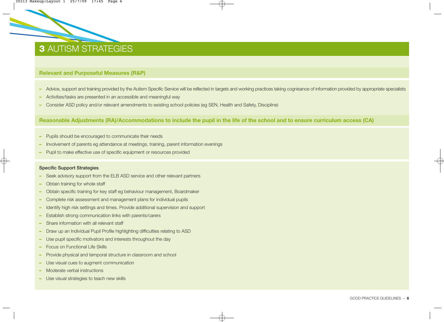### **3** AUTISM STRATEGIES

#### **Relevant and Purposeful Measures (R&P)**

- **–** Advice, support and training provided by the Autism Specific Service will be reflected in targets and working practices taking cognisance of information provided by appropriate specialists
- **–** Activities/tasks are presented in an accessible and meaningful way
- **–** Consider ASD policy and/or relevant amendments to existing school policies (eg SEN, Health and Safety, Discipline)

#### **Reasonable Adjustments (RA)/Accommodations to include the pupil in the life of the school and to ensure curriculum access (CA)**

- **–** Pupils should be encouraged to communicate their needs
- **–** Involvement of parents eg attendance at meetings, training, parent information evenings
- **–** Pupil to make effective use of specific equipment or resources provided

#### Specific Support Strategies

- **–** Seek advisory support from the ELB ASD service and other relevant partners
- **–** Obtain training for whole staff
- **–** Obtain specific training for key staff eg behaviour management, Boardmaker
- **–** Complete risk assessment and management plans for individual pupils
- **–** Identify high risk settings and times. Provide additional supervision and support
- **–** Establish strong communication links with parents/carers
- **–** Share information with all relevant staff
- **–** Draw up an Individual Pupil Profile highlighting difficulties relating to ASD
- **–** Use pupil specific motivators and interests throughout the day
- **–** Focus on Functional Life Skills
- **–** Provide physical and temporal structure in classroom and school
- **–** Use visual cues to augment communication
- **–** Moderate verbal instructions
- **–** Use visual strategies to teach new skills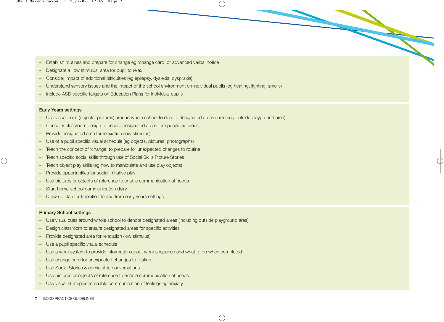- **–** Establish routines and prepare for change eg 'change card' or advanced verbal notice
- **–** Designate a 'low stimulus' area for pupil to relax
- **–** Consider impact of additional difficulties (eg epilepsy, dyslexia, dyspraxia)
- **–** Understand sensory issues and the impact of the school environment on individual pupils (eg heating, lighting, smells)
- **–** Include ASD specific targets on Education Plans for individual pupils

#### Early Years settings

- **–** Use visual cues (objects, pictures) around whole school to denote designated areas (including outside playground area)
- **–** Consider classroom design to ensure designated areas for specific activities
- **–** Provide designated area for relaxation (low stimulus)
- **–** Use of a pupil specific visual schedule (eg objects, pictures, photographs)
- **–** Teach the concept of 'change' to prepare for unexpected changes to routine
- **–** Teach specific social skills through use of Social Skills Picture Stories
- **–** Teach object play skills (eg how to manipulate and use play objects)
- **–** Provide opportunities for social imitative play
- **–** Use pictures or objects of reference to enable communication of needs
- **–** Start home-school communication diary
- **–** Draw up plan for transition to and from early years settings

#### Primary School settings

- **–** Use visual cues around whole school to denote designated areas (including outside playground area)
- **–** Design classroom to ensure designated areas for specific activities
- **–** Provide designated area for relaxation (low stimulus)
- **–** Use a pupil specific visual schedule
- **–** Use a work system to provide information about work sequence and what to do when completed
- **–** Use change card for unexpected changes to routine
- **–** Use Social Stories & comic strip conversations
- **–** Use pictures or objects of reference to enable communication of needs
- **–** Use visual strategies to enable communication of feelings eg anxiety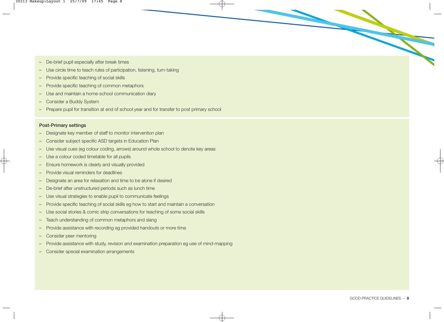- **–** De-brief pupil especially after break times
- **–** Use circle time to teach rules of participation, listening, turn-taking
- **–** Provide specific teaching of social skills
- **–** Provide specific teaching of common metaphors
- **–** Use and maintain a home-school communication diary
- **–** Consider a Buddy System
- **–** Prepare pupil for transition at end of school year and for transfer to post primary school

#### Post-Primary settings

- **–** Designate key member of staff to monitor intervention plan
- **–** Consider subject specific ASD targets in Education Plan
- **–** Use visual cues (eg colour coding, arrows) around whole school to denote key areas
- **–** Use a colour coded timetable for all pupils
- **–** Ensure homework is clearly and visually provided
- **–** Provide visual reminders for deadlines
- **–** Designate an area for relaxation and time to be alone if desired
- **–** De-brief after unstructured periods such as lunch time
- **–** Use visual strategies to enable pupil to communicate feelings
- **–** Provide specific teaching of social skills eg how to start and maintain a conversation
- **–** Use social stories & comic strip conversations for teaching of some social skills
- **–** Teach understanding of common metaphors and slang
- **–** Provide assistance with recording eg provided handouts or more time
- **–** Consider peer mentoring
- **–** Provide assistance with study, revision and examination preparation eg use of mind-mapping
- **–** Consider special examination arrangements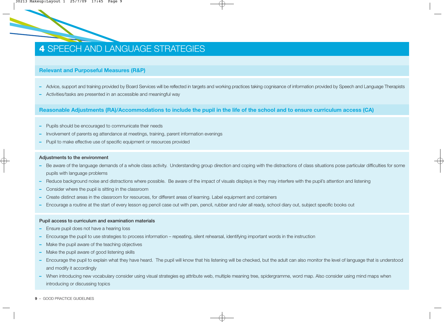### **4** SPEECH AND LANGUAGE STRATEGIES

#### **Relevant and Purposeful Measures (R&P)**

- **–** Advice, support and training provided by Board Services will be reflected in targets and working practices taking cognisance of information provided by Speech and Language Therapists
- **–** Activities/tasks are presented in an accessible and meaningful way

**Reasonable Adjustments (RA)/Accommodations to include the pupil in the life of the school and to ensure curriculum access (CA)**

- **–** Pupils should be encouraged to communicate their needs
- **–** Involvement of parents eg attendance at meetings, training, parent information evenings
- **–** Pupil to make effective use of specific equipment or resources provided

#### Adjustments to the environment

- **–** Be aware of the language demands of a whole class activity. Understanding group direction and coping with the distractions of class situations pose particular difficulties for some pupils with language problems
- **–** Reduce background noise and distractions where possible. Be aware of the impact of visuals displays ie they may interfere with the pupil's attention and listening
- **–** Consider where the pupil is sitting in the classroom
- **–** Create distinct areas in the classroom for resources, for different areas of learning. Label equipment and containers
- **–** Encourage a routine at the start of every lesson eg pencil case out with pen, pencil, rubber and ruler all ready, school diary out, subject specific books out

#### Pupil access to curriculum and examination materials

- **–** Ensure pupil does not have a hearing loss
- **–** Encourage the pupil to use strategies to process information repeating, silent rehearsal, identifying important words in the instruction
- **–** Make the pupil aware of the teaching objectives
- **–** Make the pupil aware of good listening skills
- **–** Encourage the pupil to explain what they have heard. The pupil will know that his listening will be checked, but the adult can also monitor the level of language that is understood and modify it accordingly
- **–** When introducing new vocabulary consider using visual strategies eg attribute web, multiple meaning tree, spidergramme, word map. Also consider using mind maps when introducing or discussing topics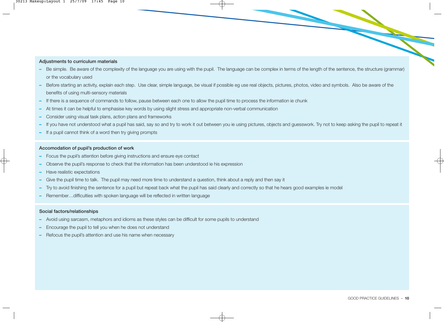#### Adjustments to curriculum materials

- **–** Be simple. Be aware of the complexity of the language you are using with the pupil. The language can be complex in terms of the length of the sentence, the structure (grammar) or the vocabulary used
- **–** Before starting an activity, explain each step. Use clear, simple language, be visual if possible eg use real objects, pictures, photos, video and symbols. Also be aware of the benefits of using multi-sensory materials
- **–** If there is a sequence of commands to follow, pause between each one to allow the pupil time to process the information ie chunk
- **–** At times it can be helpful to emphasise key words by using slight stress and appropriate non-verbal communication
- **–** Consider using visual task plans, action plans and frameworks
- **–** If you have not understood what a pupil has said, say so and try to work it out between you ie using pictures, objects and guesswork. Try not to keep asking the pupil to repeat it
- **–** If a pupil cannot think of a word then try giving prompts

#### Accomodation of pupil's production of work

- **–** Focus the pupil's attention before giving instructions and ensure eye contact
- **–** Observe the pupil's response to check that the information has been understood ie his expression
- **–** Have realistic expectations
- **–** Give the pupil time to talk. The pupil may need more time to understand a question, think about a reply and then say it
- **–** Try to avoid finishing the sentence for a pupil but repeat back what the pupil has said clearly and correctly so that he hears good examples ie model
- **–** Remember…difficulties with spoken language will be reflected in written language

#### Social factors/relationships

- **–** Avoid using sarcasm, metaphors and idioms as these styles can be difficult for some pupils to understand
- **–** Encourage the pupil to tell you when he does not understand
- **–** Refocus the pupil's attention and use his name when necessary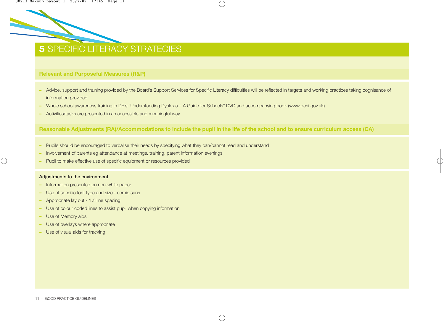### **5 SPECIFIC LITERACY STRATEGIES**

#### **Relevant and Purposeful Measures (R&P)**

- **–** Advice, support and training provided by the Board's Support Services for Specific Literacy difficulties will be reflected in targets and working practices taking cognisance of information provided
- **–** Whole school awareness training in DE's "Understanding Dyslexia A Guide for Schools" DVD and accompanying book (www.deni.gov.uk)
- **–** Activities/tasks are presented in an accessible and meaningful way

**Reasonable Adjustments (RA)/Accommodations to include the pupil in the life of the school and to ensure curriculum access (CA)**

- **–** Pupils should be encouraged to verbalise their needs by specifying what they can/cannot read and understand
- **–** Involvement of parents eg attendance at meetings, training, parent information evenings
- **–** Pupil to make effective use of specific equipment or resources provided

#### Adjustments to the environment

- **–** Information presented on non-white paper
- **–** Use of specific font type and size comic sans
- **–** Appropriate lay out 1½ line spacing
- **–** Use of colour coded lines to assist pupil when copying information
- **–** Use of Memory aids
- **–** Use of overlays where appropriate
- **–** Use of visual aids for tracking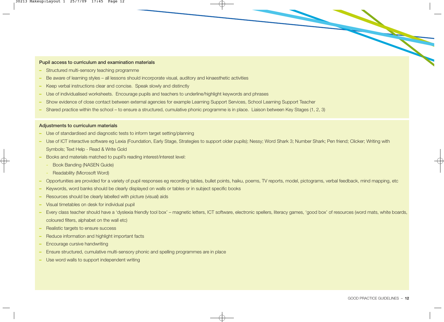#### Pupil access to curriculum and examination materials

- **–** Structured multi-sensory teaching programme
- **–** Be aware of learning styles all lessons should incorporate visual, auditory and kinaesthetic activities
- **–** Keep verbal instructions clear and concise. Speak slowly and distinctly
- **–** Use of individualised worksheets. Encourage pupils and teachers to underline/highlight keywords and phrases
- **–** Show evidence of close contact between external agencies for example Learning Support Services, School Learning Support Teacher
- **–** Shared practice within the school to ensure a structured, cumulative phonic programme is in place. Liaison between Key Stages (1, 2, 3)

#### Adjustments to curriculum materials

- **–** Use of standardised and diagnostic tests to inform target setting/planning
- **–** Use of ICT interactive software eg Lexia (Foundation, Early Stage, Strategies to support older pupils); Nessy; Word Shark 3; Number Shark; Pen friend; Clicker; Writing with Symbols; Text Help - Read & Write Gold
- **–** Books and materials matched to pupil's reading interest/interest level:
	- **-** Book Banding (NASEN Guide)
	- **-** Readability (Microsoft Word)
- **–** Opportunities are provided for a variety of pupil responses eg recording tables, bullet points, haiku, poems, TV reports, model, pictograms, verbal feedback, mind mapping, etc
- **–** Keywords, word banks should be clearly displayed on walls or tables or in subject specific books
- **–** Resources should be clearly labelled with picture (visual) aids
- **–** Visual timetables on desk for individual pupil
- **–** Every class teacher should have a 'dyslexia friendly tool box' magnetic letters, ICT software, electronic spellers, literacy games, 'good box' of resources (word mats, white boards, coloured filters, alphabet on the wall etc)
- **–** Realistic targets to ensure success
- **–** Reduce information and highlight important facts
- **–** Encourage cursive handwriting
- **–** Ensure structured, cumulative multi-sensory phonic and spelling programmes are in place
- **–** Use word walls to support independent writing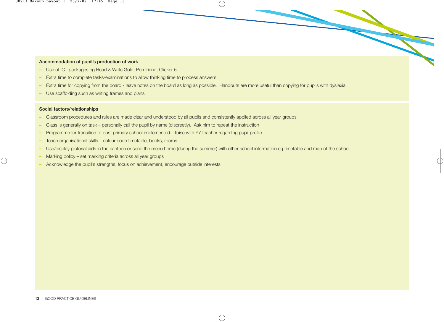#### Accommodation of pupil's production of work

- **–** Use of ICT packages eg Read & Write Gold; Pen friend; Clicker 5
- **–** Extra time to complete tasks/examinations to allow thinking time to process answers
- **–** Extra time for copying from the board leave notes on the board as long as possible. Handouts are more useful than copying for pupils with dyslexia
- **–** Use scaffolding such as writing frames and plans

#### Social factors/relationships

- **–** Classroom procedures and rules are made clear and understood by all pupils and consistently applied across all year groups
- **–** Class is generally on task personally call the pupil by name (discreetly). Ask him to repeat the instruction
- **–** Programme for transition to post primary school implemented liaise with Y7 teacher regarding pupil profile
- **–** Teach organisational skills colour code timetable, books, rooms
- **–** Use/display pictorial aids in the canteen or send the menu home (during the summer) with other school information eg timetable and map of the school
- **–** Marking policy set marking criteria across all year groups
- **–** Acknowledge the pupil's strengths, focus on achievement, encourage outside interests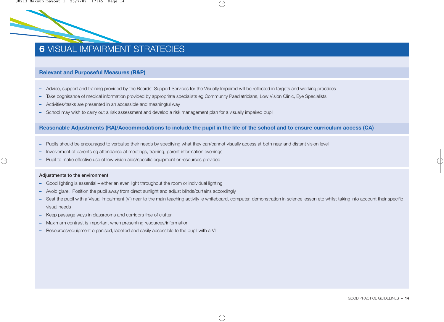### **6** VISUAL IMPAIRMENT STRATEGIES

#### **Relevant and Purposeful Measures (R&P)**

- **–** Advice, support and training provided by the Boards' Support Services for the Visually Impaired will be reflected in targets and working practices
- **–** Take cognisance of medical information provided by appropriate specialists eg Community Paediatricians, Low Vision Clinic, Eye Specialists
- **–** Activities/tasks are presented in an accessible and meaningful way
- **–** School may wish to carry out a risk assessment and develop a risk management plan for a visually impaired pupil

#### **Reasonable Adjustments (RA)/Accommodations to include the pupil in the life of the school and to ensure curriculum access (CA)**

- **–** Pupils should be encouraged to verbalise their needs by specifying what they can/cannot visually access at both near and distant vision level
- **–** Involvement of parents eg attendance at meetings, training, parent information evenings
- **–** Pupil to make effective use of low vision aids/specific equipment or resources provided

#### Adjustments to the environment

- **–** Good lighting is essential either an even light throughout the room or individual lighting
- **–** Avoid glare. Position the pupil away from direct sunlight and adjust blinds/curtains accordingly
- **–** Seat the pupil with a Visual Impairment (VI) near to the main teaching activity ie whiteboard, computer, demonstration in science lesson etc whilst taking into account their specific visual needs
- **–** Keep passage ways in classrooms and corridors free of clutter
- **–** Maximum contrast is important when presenting resources/information
- **–** Resources/equipment organised, labelled and easily accessible to the pupil with a VI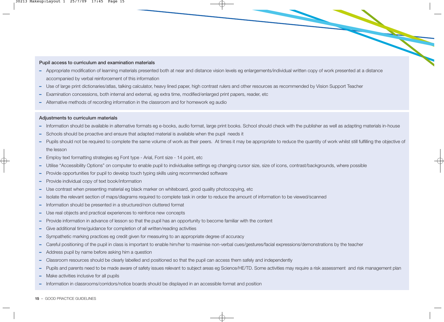#### Pupil access to curriculum and examination materials

- **–** Appropriate modification of learning materials presented both at near and distance vision levels eg enlargements/individual written copy of work presented at a distance accompanied by verbal reinforcement of this information
- **–** Use of large print dictionaries/atlas, talking calculator, heavy lined paper, high contrast rulers and other resources as recommended by Vision Support Teacher
- **–** Examination concessions, both internal and external, eg extra time, modified/enlarged print papers, reader, etc
- **–** Alternative methods of recording information in the classroom and for homework eg audio

#### Adjustments to curriculum materials

- **–** Information should be available in alternative formats eg e-books, audio format, large print books. School should check with the publisher as well as adapting materials in-house
- **–** Schools should be proactive and ensure that adapted material is available when the pupil needs it
- **–** Pupils should not be required to complete the same volume of work as their peers. At times it may be appropriate to reduce the quantity of work whilst still fulfilling the objective of the lesson
- **–** Employ text formatting strategies eg Font type Arial, Font size 14 point, etc
- **–** Utilise "Accessibility Options" on computer to enable pupil to individualise settings eg changing cursor size, size of icons, contrast/backgrounds, where possible
- **–** Provide opportunities for pupil to develop touch typing skills using recommended software
- **–** Provide individual copy of text book/information
- **–** Use contrast when presenting material eg black marker on whiteboard, good quality photocopying, etc
- **–** Isolate the relevant section of maps/diagrams required to complete task in order to reduce the amount of information to be viewed/scanned
- **–** Information should be presented in a structured/non cluttered format
- **–** Use real objects and practical experiences to reinforce new concepts
- **–** Provide information in advance of lesson so that the pupil has an opportunity to become familiar with the content
- **–** Give additional time/guidance for completion of all written/reading activities
- **–** Sympathetic marking practices eg credit given for measuring to an appropriate degree of accuracy
- **–** Careful positioning of the pupil in class is important to enable him/her to maximise non-verbal cues/gestures/facial expressions/demonstrations by the teacher
- **–** Address pupil by name before asking him a question
- **–** Classroom resources should be clearly labelled and positioned so that the pupil can access them safely and independently
- **–** Pupils and parents need to be made aware of safety issues relevant to subject areas eg Science/HE/TD. Some activities may require a risk assessment and risk management plan
- **–** Make activities inclusive for all pupils
- **–** Information in classrooms/corridors/notice boards should be displayed in an accessible format and position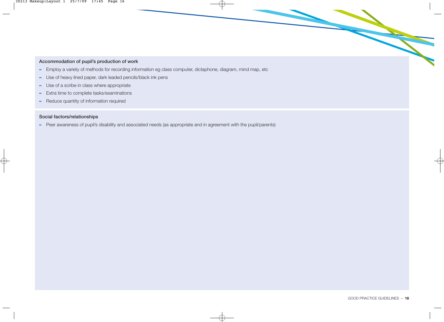#### Accommodation of pupil's production of work

- **–** Employ a variety of methods for recording information eg class computer, dictaphone, diagram, mind map, etc
- **–** Use of heavy lined paper, dark leaded pencils/black ink pens
- **–** Use of a scribe in class where appropriate
- **–** Extra time to complete tasks/examinations
- **–** Reduce quantity of information required

#### Social factors/relationships

**–** Peer awareness of pupil's disability and associated needs (as appropriate and in agreement with the pupil/parents)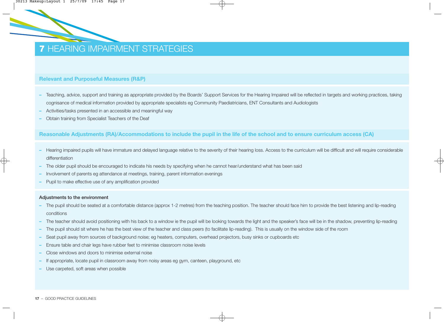### **7** HEARING IMPAIRMENT STRATEGIES

#### **Relevant and Purposeful Measures (R&P)**

- **–** Teaching, advice, support and training as appropriate provided by the Boards' Support Services for the Hearing Impaired will be reflected in targets and working practices, taking cognisance of medical information provided by appropriate specialists eg Community Paediatricians, ENT Consultants and Audiologists
- **–** Activities/tasks presented in an accessible and meaningful way
- **–** Obtain training from Specialist Teachers of the Deaf

#### **Reasonable Adjustments (RA)/Accommodations to include the pupil in the life of the school and to ensure curriculum access (CA)**

- **–** Hearing impaired pupils will have immature and delayed language relative to the severity of their hearing loss. Access to the curriculum will be difficult and will require considerable differentiation
- **–** The older pupil should be encouraged to indicate his needs by specifying when he cannot hear/understand what has been said
- **–** Involvement of parents eg attendance at meetings, training, parent information evenings
- **–** Pupil to make effective use of any amplification provided

#### Adjustments to the environment

- **–** The pupil should be seated at a comfortable distance (approx 1-2 metres) from the teaching position. The teacher should face him to provide the best listening and lip-reading conditions
- **–** The teacher should avoid positioning with his back to a window ie the pupil will be looking towards the light and the speaker's face will be in the shadow, preventing lip-reading
- **–** The pupil should sit where he has the best view of the teacher and class peers (to facilitate lip-reading). This is usually on the window side of the room
- **–** Seat pupil away from sources of background noise; eg heaters, computers, overhead projectors, busy sinks or cupboards etc
- **–** Ensure table and chair legs have rubber feet to minimise classroom noise levels
- **–** Close windows and doors to minimise external noise
- **–** If appropriate, locate pupil in classroom away from noisy areas eg gym, canteen, playground, etc
- **–** Use carpeted, soft areas when possible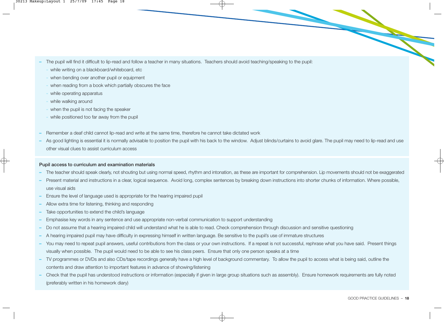- **–** The pupil will find it difficult to lip-read and follow a teacher in many situations. Teachers should avoid teaching/speaking to the pupil:
	- **-** while writing on a blackboard/whiteboard, etc
	- **-** when bending over another pupil or equipment
	- **-** when reading from a book which partially obscures the face
	- **-** while operating apparatus
	- **-** while walking around
	- **-** when the pupil is not facing the speaker
	- **-** while positioned too far away from the pupil
- **–** Remember a deaf child cannot lip-read and write at the same time, therefore he cannot take dictated work
- **–** As good lighting is essential it is normally advisable to position the pupil with his back to the window. Adjust blinds/curtains to avoid glare. The pupil may need to lip-read and use other visual clues to assist curriculum access

#### Pupil access to curriculum and examination materials

- **–** The teacher should speak clearly, not shouting but using normal speed, rhythm and intonation, as these are important for comprehension. Lip movements should not be exaggerated
- **–** Present material and instructions in a clear, logical sequence. Avoid long, complex sentences by breaking down instructions into shorter chunks of information. Where possible, use visual aids
- **–** Ensure the level of language used is appropriate for the hearing impaired pupil
- **–** Allow extra time for listening, thinking and responding
- **–** Take opportunities to extend the child's language
- **–** Emphasise key words in any sentence and use appropriate non-verbal communication to support understanding
- **–** Do not assume that a hearing impaired child will understand what he is able to read. Check comprehension through discussion and sensitive questioning
- **–** A hearing impaired pupil may have difficulty in expressing himself in written language. Be sensitive to the pupil's use of immature structures
- **–** You may need to repeat pupil answers, useful contributions from the class or your own instructions. If a repeat is not successful, rephrase what you have said. Present things visually when possible. The pupil would need to be able to see his class peers. Ensure that only one person speaks at a time
- **–** TV programmes or DVDs and also CDs/tape recordings generally have a high level of background commentary. To allow the pupil to access what is being said, outline the contents and draw attention to important features in advance of showing/listening
- **–** Check that the pupil has understood instructions or information (especially if given in large group situations such as assembly). Ensure homework requirements are fully noted (preferably written in his homework diary)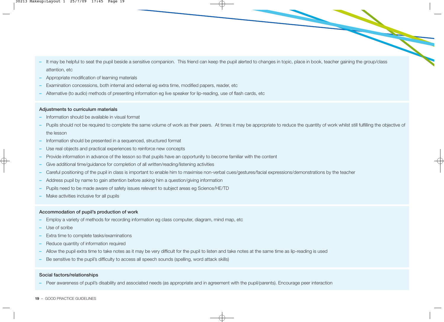- **–** It may be helpful to seat the pupil beside a sensitive companion. This friend can keep the pupil alerted to changes in topic, place in book, teacher gaining the group/class attention, etc
- **–** Appropriate modification of learning materials
- **–** Examination concessions, both internal and external eg extra time, modified papers, reader, etc
- **–** Alternative (to audio) methods of presenting information eg live speaker for lip-reading, use of flash cards, etc

#### Adjustments to curriculum materials

- **–** Information should be available in visual format
- Pupils should not be required to complete the same volume of work as their peers. At times it may be appropriate to reduce the quantity of work whilst still fulfilling the objective of the lesson
- **–** Information should be presented in a sequenced, structured format
- **–** Use real objects and practical experiences to reinforce new concepts
- **–** Provide information in advance of the lesson so that pupils have an opportunity to become familiar with the content
- **–** Give additional time/guidance for completion of all written/reading/listening activities
- **–** Careful positioning of the pupil in class is important to enable him to maximise non-verbal cues/gestures/facial expressions/demonstrations by the teacher
- **–** Address pupil by name to gain attention before asking him a question/giving information
- **–** Pupils need to be made aware of safety issues relevant to subject areas eg Science/HE/TD
- **–** Make activities inclusive for all pupils

#### Accommodation of pupil's production of work

- **–** Employ a variety of methods for recording information eg class computer, diagram, mind map, etc
- **–** Use of scribe
- **–** Extra time to complete tasks/examinations
- **–** Reduce quantity of information required
- **–** Allow the pupil extra time to take notes as it may be very difficult for the pupil to listen and take notes at the same time as lip-reading is used
- **–** Be sensitive to the pupil's difficulty to access all speech sounds (spelling, word attack skills)

#### Social factors/relationships

**–** Peer awareness of pupil's disability and associated needs (as appropriate and in agreement with the pupil/parents). Encourage peer interaction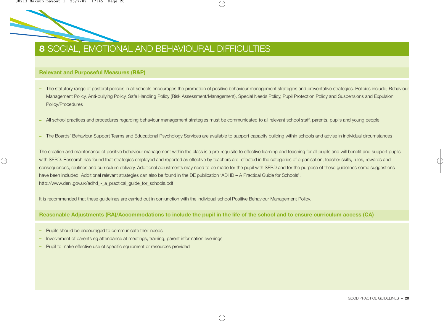

#### **Relevant and Purposeful Measures (R&P)**

- **–** The statutory range of pastoral policies in all schools encourages the promotion of positive behaviour management strategies and preventative strategies. Policies include; Behaviour Management Policy, Anti-bullying Policy, Safe Handling Policy (Risk Assessment/Management), Special Needs Policy, Pupil Protection Policy and Suspensions and Expulsion Policy/Procedures
- **–** All school practices and procedures regarding behaviour management strategies must be communicated to all relevant school staff, parents, pupils and young people
- **–** The Boards' Behaviour Support Teams and Educational Psychology Services are available to support capacity building within schools and advise in individual circumstances

The creation and maintenance of positive behaviour management within the class is a pre-requisite to effective learning and teaching for all pupils and will benefit and support pupils with SEBD. Research has found that strategies employed and reported as effective by teachers are reflected in the categories of organisation, teacher skills, rules, rewards and consequences, routines and curriculum delivery. Additional adjustments may need to be made for the pupil with SEBD and for the purpose of these guidelines some suggestions have been included. Additional relevant strategies can also be found in the DE publication 'ADHD – A Practical Guide for Schools'. http://www.deni.gov.uk/adhd - a practical quide for schools.pdf

It is recommended that these guidelines are carried out in conjunction with the individual school Positive Behaviour Management Policy.

#### **Reasonable Adjustments (RA)/Accommodations to include the pupil in the life of the school and to ensure curriculum access (CA)**

- **–** Pupils should be encouraged to communicate their needs
- **–** Involvement of parents eg attendance at meetings, training, parent information evenings
- **–** Pupil to make effective use of specific equipment or resources provided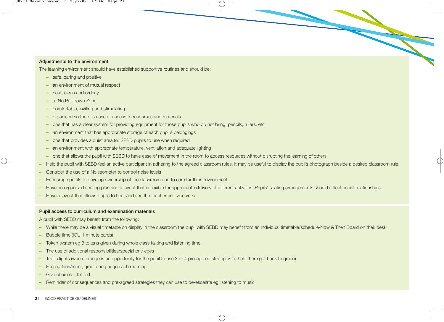#### Adjustments to the environment

The learning environment should have established supportive routines and should be:

- **–** safe, caring and positive
- **–** an environment of mutual respect
- **–** neat, clean and orderly
- **–** a 'No Put-down Zone'
- **–** comfortable, inviting and stimulating
- **–** organised so there is ease of access to resources and materials
- **–** one that has a clear system for providing equipment for those pupils who do not bring, pencils, rulers, etc
- **–** an environment that has appropriate storage of each pupil's belongings
- **–** one that provides a quiet area for SEBD pupils to use when required
- **–** an environment with appropriate temperature, ventilation and adequate lighting
- **–** one that allows the pupil with SEBD to have ease of movement in the room to access resources without disrupting the learning of others
- **–** Help the pupil with SEBD feel an active participant in adhering to the agreed classroom rules. It may be useful to display the pupil's photograph beside a desired classroom rule
- **–** Consider the use of a Noiseometer to control noise levels
- **–** Encourage pupils to develop ownership of the classroom and to care for their environment.
- **–** Have an organised seating plan and a layout that is flexible for appropriate delivery of different activities. Pupils' seating arrangements should reflect social relationships
- **–** Have a layout that allows pupils to hear and see the teacher and vice versa

#### Pupil access to curriculum and examination materials

A pupil with SEBD may benefit from the following:

- **–** While there may be a visual timetable on display in the classroom the pupil with SEBD may benefit from an individual timetable/schedule/Now & Then Board on their desk
- **–** Bubble time (IOU 1 minute cards)
- **–** Token system eg 3 tokens given during whole class talking and listening time
- **–** The use of additional responsibilities/special privileges
- **–** Traffic lights (where orange is an opportunity for the pupil to use 3 or 4 pre-agreed strategies to help them get back to green)
- **–** Feeling fans/meet, greet and gauge each morning
- **–** Give choices limited
- **–** Reminder of consequences and pre-agreed strategies they can use to de-escalate eg listening to music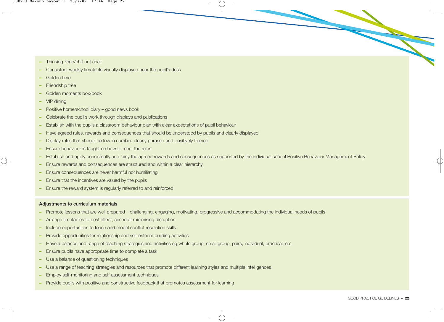- **–** Thinking zone/chill out chair
- **–** Consistent weekly timetable visually displayed near the pupil's desk
- **–** Golden time
- **–** Friendship tree
- **–** Golden moments box/book
- **–** VIP dining
- **–** Positive home/school diary good news book
- **–** Celebrate the pupil's work through displays and publications
- **–** Establish with the pupils a classroom behaviour plan with clear expectations of pupil behaviour
- **–** Have agreed rules, rewards and consequences that should be understood by pupils and clearly displayed
- **–** Display rules that should be few in number, clearly phrased and positively framed
- **–** Ensure behaviour is taught on how to meet the rules
- **–** Establish and apply consistently and fairly the agreed rewards and consequences as supported by the individual school Positive Behaviour Management Policy
- **–** Ensure rewards and consequences are structured and within a clear hierarchy
- **–** Ensure consequences are never harmful nor humiliating
- **–** Ensure that the incentives are valued by the pupils
- **–** Ensure the reward system is regularly referred to and reinforced

#### Adjustments to curriculum materials

- **–** Promote lessons that are well prepared challenging, engaging, motivating, progressive and accommodating the individual needs of pupils
- **–** Arrange timetables to best effect, aimed at minimising disruption
- **–** Include opportunities to teach and model conflict resolution skills
- **–** Provide opportunities for relationship and self-esteem building activities
- **–** Have a balance and range of teaching strategies and activities eg whole group, small group, pairs, individual, practical, etc
- **–** Ensure pupils have appropriate time to complete a task
- **–** Use a balance of questioning techniques
- **–** Use a range of teaching strategies and resources that promote different learning styles and multiple intelligences
- **–** Employ self-monitoring and self-assessment techniques
- **–** Provide pupils with positive and constructive feedback that promotes assessment for learning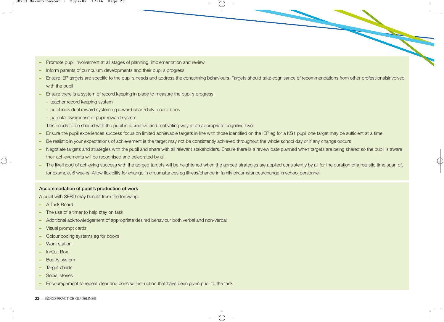- **–** Promote pupil involvement at all stages of planning, implementation and review
- **–** Inform parents of curriculum developments and their pupil's progress
- **–** Ensure IEP targets are specific to the pupil's needs and address the concerning behaviours. Targets should take cognisance of recommendations from other professionalsinvolved with the pupil
- **–** Ensure there is a system of record keeping in place to measure the pupil's progress:
	- **-** teacher record keeping system
	- **-** pupil individual reward system eg reward chart/daily record book
	- **-** parental awareness of pupil reward system
	- This needs to be shared with the pupil in a creative and motivating way at an appropriate cognitive level
- **–** Ensure the pupil experiences success focus on limited achievable targets in line with those identified on the IEP eg for a KS1 pupil one target may be sufficient at a time
- **–** Be realistic in your expectations of achievement ie the target may not be consistently achieved throughout the whole school day or if any change occurs
- **–** Negotiate targets and strategies with the pupil and share with all relevant stakeholders. Ensure there is a review date planned when targets are being shared so the pupil is aware their achievements will be recognised and celebrated by all.
- **–** The likelihood of achieving success with the agreed targets will be heightened when the agreed strategies are applied consistently by all for the duration of a realistic time span of, for example, 6 weeks. Allow flexibility for change in circumstances eg illness/change in family circumstances/change in school personnel.

#### Accommodation of pupil's production of work

A pupil with SEBD may benefit from the following:

- **–** A Task Board
- **–** The use of a timer to help stay on task
- **–** Additional acknowledgement of appropriate desired behaviour both verbal and non-verbal
- **–** Visual prompt cards
- **–** Colour coding systems eg for books
- **–** Work station
- **–** In/Out Box
- **–** Buddy system
- **–** Target charts
- **–** Social stories
- **–** Encouragement to repeat clear and concise instruction that have been given prior to the task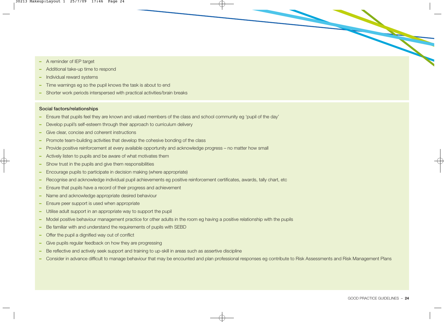- **–** A reminder of IEP target
- **–** Additional take-up time to respond
- **–** Individual reward systems
- **–** Time warnings eg so the pupil knows the task is about to end
- **–** Shorter work periods interspersed with practical activities/brain breaks

#### Social factors/relationships

- **–** Ensure that pupils feel they are known and valued members of the class and school community eg 'pupil of the day'
- **–** Develop pupil's self-esteem through their approach to curriculum delivery
- **–** Give clear, concise and coherent instructions
- **–** Promote team-building activities that develop the cohesive bonding of the class
- **–** Provide positive reinforcement at every available opportunity and acknowledge progress no matter how small
- **–** Actively listen to pupils and be aware of what motivates them
- **–** Show trust in the pupils and give them responsibilities
- **–** Encourage pupils to participate in decision making (where appropriate)
- **–** Recognise and acknowledge individual pupil achievements eg positive reinforcement certificates, awards, tally chart, etc
- **–** Ensure that pupils have a record of their progress and achievement
- **–** Name and acknowledge appropriate desired behaviour
- **–** Ensure peer support is used when appropriate
- **–** Utilise adult support in an appropriate way to support the pupil
- **–** Model positive behaviour management practice for other adults in the room eg having a positive relationship with the pupils
- **–** Be familiar with and understand the requirements of pupils with SEBD
- **–** Offer the pupil a dignified way out of conflict
- **–** Give pupils regular feedback on how they are progressing
- **–** Be reflective and actively seek support and training to up-skill in areas such as assertive discipline
- **–** Consider in advance difficult to manage behaviour that may be encounted and plan professional responses eg contribute to Risk Assessments and Risk Management Plans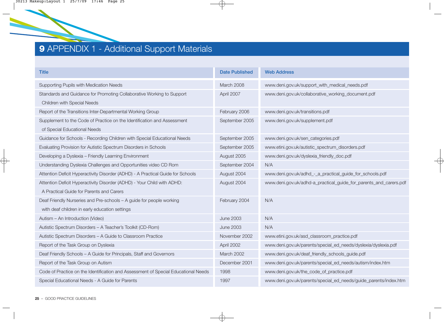## **9** APPENDIX 1 - Additional Support Materials

| <b>Title</b>                                                                       | <b>Date Published</b> | <b>Web Address</b>                                                |
|------------------------------------------------------------------------------------|-----------------------|-------------------------------------------------------------------|
| Supporting Pupils with Medication Needs                                            | March 2008            | www.deni.gov.uk/support_with_medical_needs.pdf                    |
| Standards and Guidance for Promoting Collaborative Working to Support              | April 2007            | www.deni.gov.uk/collaborative_working_document.pdf                |
| <b>Children with Special Needs</b>                                                 |                       |                                                                   |
| Report of the Transitions Inter-Departmental Working Group                         | February 2006         | www.deni.gov.uk/transitions.pdf                                   |
| Supplement to the Code of Practice on the Identification and Assessment            | September 2005        | www.deni.gov.uk/supplement.pdf                                    |
| of Special Educational Needs                                                       |                       |                                                                   |
| Guidance for Schools - Recording Children with Special Educational Needs           | September 2005        | www.deni.gov.uk/sen_categories.pdf                                |
| Evaluating Provision for Autistic Spectrum Disorders in Schools                    | September 2005        | www.etini.gov.uk/autistic_spectrum_disorders.pdf                  |
| Developing a Dyslexia - Friendly Learning Environment                              | August 2005           | www.deni.gov.uk/dyslexia_friendly_doc.pdf                         |
| Understanding Dyslexia Challenges and Opportunities video CD Rom                   | September 2004        | N/A                                                               |
| Attention Deficit Hyperactivity Disorder (ADHD) - A Practical Guide for Schools    | August 2004           | www.deni.gov.uk/adhd_-_a_practical_guide_for_schools.pdf          |
| Attention Deficit Hyperactivity Disorder (ADHD) - Your Child with ADHD:            | August 2004           | www.deni.gov.uk/adhd-a_practical_guide_for_parents_and_carers.pdf |
| A Practical Guide for Parents and Carers                                           |                       |                                                                   |
| Deaf Friendly Nurseries and Pre-schools - A guide for people working               | February 2004         | N/A                                                               |
| with deaf children in early education settings                                     |                       |                                                                   |
| Autism - An Introduction (Video)                                                   | <b>June 2003</b>      | N/A                                                               |
| Autistic Spectrum Disorders - A Teacher's Toolkit (CD-Rom)                         | <b>June 2003</b>      | N/A                                                               |
| Autistic Spectrum Disorders - A Guide to Classroom Practice                        | November 2002         | www.etini.gov.uk/asd_classroom_practice.pdf                       |
| Report of the Task Group on Dyslexia                                               | April 2002            | www.deni.gov.uk/parents/special_ed_needs/dyslexia/dyslexia.pdf    |
| Deaf Friendly Schools - A Guide for Principals, Staff and Governors                | March 2002            | www.deni.gov.uk/deaf_friendly_schools_guide.pdf                   |
| Report of the Task Group on Autism                                                 | December 2001         | www.deni.gov.uk/parents/special_ed_needs/autism/index.htm         |
| Code of Practice on the Identification and Assessment of Special Educational Needs | 1998                  | www.deni.gov.uk/the_code_of_practice.pdf                          |
| Special Educational Needs - A Guide for Parents                                    | 1997                  | www.deni.gov.uk/parents/special_ed_needs/guide_parents/index.htm  |